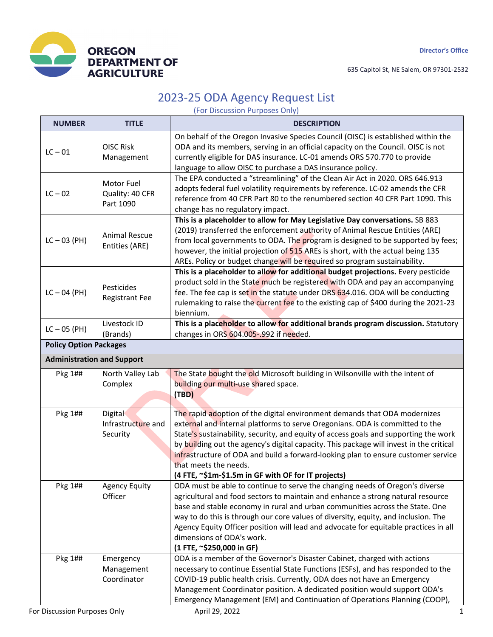

635 Capitol St, NE Salem, OR 97301-2532

## 2023-25 ODA Agency Request List

(For Discussion Purposes Only)

| <b>NUMBER</b>                     | <b>TITLE</b>                               | <b>DESCRIPTION</b>                                                                                                                                                                                                                                                                                                                                                                                                                                                                                                |
|-----------------------------------|--------------------------------------------|-------------------------------------------------------------------------------------------------------------------------------------------------------------------------------------------------------------------------------------------------------------------------------------------------------------------------------------------------------------------------------------------------------------------------------------------------------------------------------------------------------------------|
| $LC - 01$                         | <b>OISC Risk</b><br>Management             | On behalf of the Oregon Invasive Species Council (OISC) is established within the<br>ODA and its members, serving in an official capacity on the Council. OISC is not<br>currently eligible for DAS insurance. LC-01 amends ORS 570.770 to provide<br>language to allow OISC to purchase a DAS insurance policy.                                                                                                                                                                                                  |
| $LC - 02$                         | Motor Fuel<br>Quality: 40 CFR<br>Part 1090 | The EPA conducted a "streamlining" of the Clean Air Act in 2020. ORS 646.913<br>adopts federal fuel volatility requirements by reference. LC-02 amends the CFR<br>reference from 40 CFR Part 80 to the renumbered section 40 CFR Part 1090. This<br>change has no regulatory impact.                                                                                                                                                                                                                              |
| $LC - 03$ (PH)                    | <b>Animal Rescue</b><br>Entities (ARE)     | This is a placeholder to allow for May Legislative Day conversations. SB 883<br>(2019) transferred the enforcement authority of Animal Rescue Entities (ARE)<br>from local governments to ODA. The program is designed to be supported by fees;<br>however, the initial projection of 515 AREs is short, with the actual being 135<br>AREs. Policy or budget change will be required so program sustainability.                                                                                                   |
| $LC - 04$ (PH)                    | Pesticides<br><b>Registrant Fee</b>        | This is a placeholder to allow for additional budget projections. Every pesticide<br>product sold in the State much be registered with ODA and pay an accompanying<br>fee. The fee cap is set in the statute under ORS 634.016. ODA will be conducting<br>rulemaking to raise the current fee to the existing cap of \$400 during the 2021-23<br>biennium.                                                                                                                                                        |
| $LC - 05$ (PH)                    | Livestock ID<br>(Brands)                   | This is a placeholder to allow for additional brands program discussion. Statutory<br>changes in ORS 604.005-.992 if needed.                                                                                                                                                                                                                                                                                                                                                                                      |
| <b>Policy Option Packages</b>     |                                            |                                                                                                                                                                                                                                                                                                                                                                                                                                                                                                                   |
| <b>Administration and Support</b> |                                            |                                                                                                                                                                                                                                                                                                                                                                                                                                                                                                                   |
| Pkg 1##                           | North Valley Lab<br>Complex                | The State bought the old Microsoft building in Wilsonville with the intent of<br>building our multi-use shared space.<br>(TBD)                                                                                                                                                                                                                                                                                                                                                                                    |
| Pkg 1##                           | Digital<br>Infrastructure and<br>Security  | The rapid adoption of the digital environment demands that ODA modernizes<br>external and internal platforms to serve Oregonians. ODA is committed to the<br>State's sustainability, security, and equity of access goals and supporting the work<br>by building out the agency's digital capacity. This package will invest in the critical<br>infrastructure of ODA and build a forward-looking plan to ensure customer service<br>that meets the needs.<br>(4 FTE, ~\$1m-\$1.5m in GF with OF for IT projects) |
| Pkg 1##                           | <b>Agency Equity</b><br>Officer            | ODA must be able to continue to serve the changing needs of Oregon's diverse<br>agricultural and food sectors to maintain and enhance a strong natural resource<br>base and stable economy in rural and urban communities across the State. One<br>way to do this is through our core values of diversity, equity, and inclusion. The<br>Agency Equity Officer position will lead and advocate for equitable practices in all<br>dimensions of ODA's work.<br>(1 FTE, ~\$250,000 in GF)                           |
| Pkg 1##                           | Emergency<br>Management<br>Coordinator     | ODA is a member of the Governor's Disaster Cabinet, charged with actions<br>necessary to continue Essential State Functions (ESFs), and has responded to the<br>COVID-19 public health crisis. Currently, ODA does not have an Emergency<br>Management Coordinator position. A dedicated position would support ODA's<br>Emergency Management (EM) and Continuation of Operations Planning (COOP),                                                                                                                |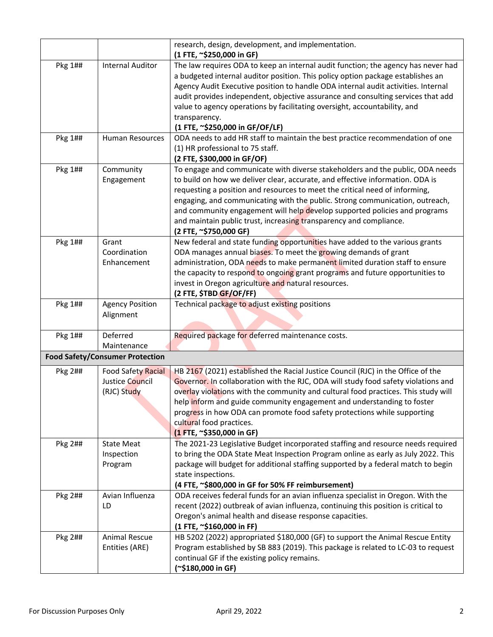|         |                                                             | research, design, development, and implementation.<br>(1 FTE, ~\$250,000 in GF)                                                                                                                                                                                                                                                                                                                                                                                                                             |
|---------|-------------------------------------------------------------|-------------------------------------------------------------------------------------------------------------------------------------------------------------------------------------------------------------------------------------------------------------------------------------------------------------------------------------------------------------------------------------------------------------------------------------------------------------------------------------------------------------|
| Pkg 1## | <b>Internal Auditor</b>                                     | The law requires ODA to keep an internal audit function; the agency has never had<br>a budgeted internal auditor position. This policy option package establishes an<br>Agency Audit Executive position to handle ODA internal audit activities. Internal<br>audit provides independent, objective assurance and consulting services that add<br>value to agency operations by facilitating oversight, accountability, and<br>transparency.<br>(1 FTE, ~\$250,000 in GF/OF/LF)                              |
| Pkg 1## | <b>Human Resources</b>                                      | ODA needs to add HR staff to maintain the best practice recommendation of one<br>(1) HR professional to 75 staff.<br>(2 FTE, \$300,000 in GF/OF)                                                                                                                                                                                                                                                                                                                                                            |
| Pkg 1## | Community<br>Engagement                                     | To engage and communicate with diverse stakeholders and the public, ODA needs<br>to build on how we deliver clear, accurate, and effective information. ODA is<br>requesting a position and resources to meet the critical need of informing,<br>engaging, and communicating with the public. Strong communication, outreach,<br>and community engagement will help develop supported policies and programs<br>and maintain public trust, increasing transparency and compliance.<br>(2 FTE, ~\$750,000 GF) |
| Pkg 1## | Grant<br>Coordination<br>Enhancement                        | New federal and state funding opportunities have added to the various grants<br>ODA manages annual biases. To meet the growing demands of grant<br>administration, ODA needs to make permanent limited duration staff to ensure<br>the capacity to respond to ongoing grant programs and future opportunities to<br>invest in Oregon agriculture and natural resources.<br>(2 FTE, \$TBD GF/OF/FF)                                                                                                          |
| Pkg 1## | <b>Agency Position</b><br>Alignment                         | Technical package to adjust existing positions                                                                                                                                                                                                                                                                                                                                                                                                                                                              |
| Pkg 1## | Deferred<br>Maintenance                                     | Required package for deferred maintenance costs.                                                                                                                                                                                                                                                                                                                                                                                                                                                            |
|         | <b>Food Safety/Consumer Protection</b>                      |                                                                                                                                                                                                                                                                                                                                                                                                                                                                                                             |
| Pkg 2## | <b>Food Safety Racial</b><br>Justice Council<br>(RJC) Study | HB 2167 (2021) established the Racial Justice Council (RJC) in the Office of the<br>Governor. In collaboration with the RJC, ODA will study food safety violations and<br>overlay violations with the community and cultural food practices. This study will<br>help inform and guide community engagement and understanding to foster<br>progress in how ODA can promote food safety protections while supporting<br>cultural food practices.<br>(1 FTE, ~\$350,000 in GF)                                 |
| Pkg 2## | <b>State Meat</b><br>Inspection<br>Program                  | The 2021-23 Legislative Budget incorporated staffing and resource needs required<br>to bring the ODA State Meat Inspection Program online as early as July 2022. This<br>package will budget for additional staffing supported by a federal match to begin<br>state inspections.<br>(4 FTE, ~\$800,000 in GF for 50% FF reimbursement)                                                                                                                                                                      |
| Pkg 2## | Avian Influenza<br>LD                                       | ODA receives federal funds for an avian influenza specialist in Oregon. With the<br>recent (2022) outbreak of avian influenza, continuing this position is critical to<br>Oregon's animal health and disease response capacities.<br>(1 FTE, ~\$160,000 in FF)                                                                                                                                                                                                                                              |
| Pkg 2## | <b>Animal Rescue</b><br>Entities (ARE)                      | HB 5202 (2022) appropriated \$180,000 (GF) to support the Animal Rescue Entity<br>Program established by SB 883 (2019). This package is related to LC-03 to request<br>continual GF if the existing policy remains.<br>(~\$180,000 in GF)                                                                                                                                                                                                                                                                   |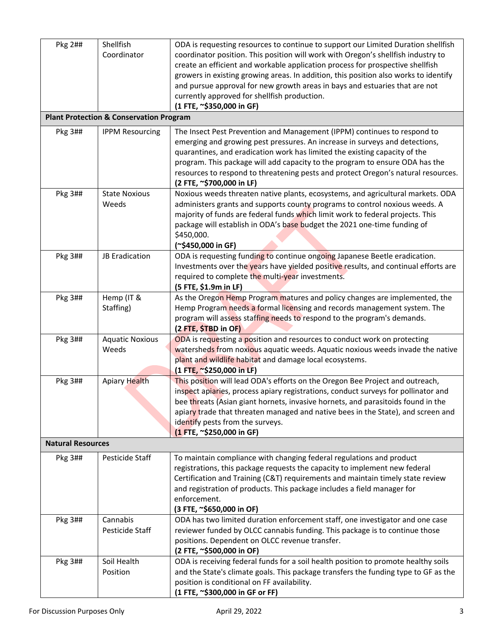| Pkg 2##                  | Shellfish<br>Coordinator                           | ODA is requesting resources to continue to support our Limited Duration shellfish<br>coordinator position. This position will work with Oregon's shellfish industry to<br>create an efficient and workable application process for prospective shellfish<br>growers in existing growing areas. In addition, this position also works to identify<br>and pursue approval for new growth areas in bays and estuaries that are not<br>currently approved for shellfish production.<br>(1 FTE, ~\$350,000 in GF) |
|--------------------------|----------------------------------------------------|--------------------------------------------------------------------------------------------------------------------------------------------------------------------------------------------------------------------------------------------------------------------------------------------------------------------------------------------------------------------------------------------------------------------------------------------------------------------------------------------------------------|
|                          | <b>Plant Protection &amp; Conservation Program</b> |                                                                                                                                                                                                                                                                                                                                                                                                                                                                                                              |
| Pkg 3##                  | <b>IPPM Resourcing</b>                             | The Insect Pest Prevention and Management (IPPM) continues to respond to<br>emerging and growing pest pressures. An increase in surveys and detections,<br>quarantines, and eradication work has limited the existing capacity of the<br>program. This package will add capacity to the program to ensure ODA has the<br>resources to respond to threatening pests and protect Oregon's natural resources.<br>(2 FTE, ~\$700,000 in LF)                                                                      |
| Pkg 3##                  | <b>State Noxious</b><br>Weeds                      | Noxious weeds threaten native plants, ecosystems, and agricultural markets. ODA<br>administers grants and supports county programs to control noxious weeds. A<br>majority of funds are federal funds which limit work to federal projects. This<br>package will establish in ODA's base budget the 2021 one-time funding of<br>\$450,000.<br>(~\$450,000 in GF)                                                                                                                                             |
| Pkg 3##                  | JB Eradication                                     | ODA is requesting funding to continue ongoing Japanese Beetle eradication.<br>Investments over the years have yielded positive results, and continual efforts are<br>required to complete the multi-year investments.<br>(5 FTE, \$1.9m in LF)                                                                                                                                                                                                                                                               |
| Pkg 3##                  | Hemp (IT &<br>Staffing)                            | As the Oregon Hemp Program matures and policy changes are implemented, the<br>Hemp Program needs a formal licensing and records management system. The<br>program will assess staffing needs to respond to the program's demands.<br>(2 FTE, \$TBD in OF)                                                                                                                                                                                                                                                    |
| Pkg 3##                  | <b>Aquatic Noxious</b><br>Weeds                    | ODA is requesting a position and resources to conduct work on protecting<br>watersheds from noxious aquatic weeds. Aquatic noxious weeds invade the native<br>plant and wildlife habitat and damage local ecosystems.<br>(1 FTE, ~\$250,000 in LF)                                                                                                                                                                                                                                                           |
| Pkg 3##                  | <b>Apiary Health</b>                               | This position will lead ODA's efforts on the Oregon Bee Project and outreach,<br>inspect apiaries, process apiary registrations, conduct surveys for pollinator and<br>bee threats (Asian giant hornets, invasive hornets, and parasitoids found in the<br>apiary trade that threaten managed and native bees in the State), and screen and<br>identify pests from the surveys.<br>(1 FTE, ~\$250,000 in GF)                                                                                                 |
| <b>Natural Resources</b> |                                                    |                                                                                                                                                                                                                                                                                                                                                                                                                                                                                                              |
| Pkg 3##                  | Pesticide Staff                                    | To maintain compliance with changing federal regulations and product<br>registrations, this package requests the capacity to implement new federal<br>Certification and Training (C&T) requirements and maintain timely state review<br>and registration of products. This package includes a field manager for<br>enforcement.<br>(3 FTE, ~\$650,000 in OF)                                                                                                                                                 |
| Pkg 3##                  | Cannabis<br>Pesticide Staff                        | ODA has two limited duration enforcement staff, one investigator and one case<br>reviewer funded by OLCC cannabis funding. This package is to continue those<br>positions. Dependent on OLCC revenue transfer.<br>(2 FTE, ~\$500,000 in OF)                                                                                                                                                                                                                                                                  |
| Pkg 3##                  | Soil Health<br>Position                            | ODA is receiving federal funds for a soil health position to promote healthy soils<br>and the State's climate goals. This package transfers the funding type to GF as the<br>position is conditional on FF availability.<br>(1 FTE, ~\$300,000 in GF or FF)                                                                                                                                                                                                                                                  |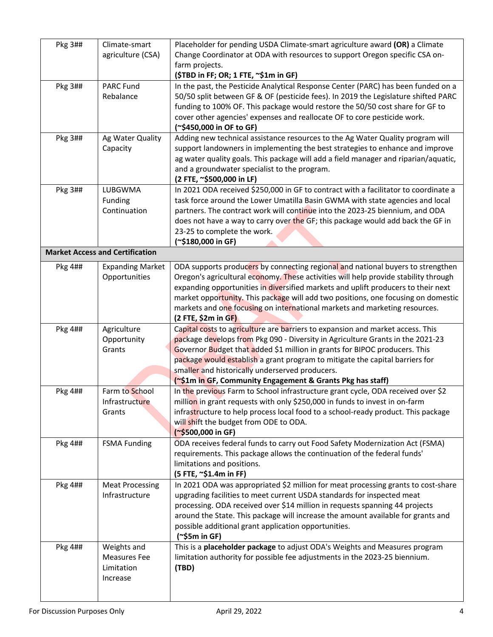| Pkg 3## | Climate-smart<br>agriculture (CSA)                    | Placeholder for pending USDA Climate-smart agriculture award (OR) a Climate<br>Change Coordinator at ODA with resources to support Oregon specific CSA on-<br>farm projects.<br>(\$TBD in FF; OR; 1 FTE, ~\$1m in GF)                                                                                                                                                                                                                                   |
|---------|-------------------------------------------------------|---------------------------------------------------------------------------------------------------------------------------------------------------------------------------------------------------------------------------------------------------------------------------------------------------------------------------------------------------------------------------------------------------------------------------------------------------------|
| Pkg 3## | <b>PARC Fund</b><br>Rebalance                         | In the past, the Pesticide Analytical Response Center (PARC) has been funded on a<br>50/50 split between GF & OF (pesticide fees). In 2019 the Legislature shifted PARC<br>funding to 100% OF. This package would restore the 50/50 cost share for GF to<br>cover other agencies' expenses and reallocate OF to core pesticide work.<br>(~\$450,000 in OF to GF)                                                                                        |
| Pkg 3## | Ag Water Quality<br>Capacity                          | Adding new technical assistance resources to the Ag Water Quality program will<br>support landowners in implementing the best strategies to enhance and improve<br>ag water quality goals. This package will add a field manager and riparian/aquatic,<br>and a groundwater specialist to the program.<br>(2 FTE, ~\$500,000 in LF)                                                                                                                     |
| Pkg 3## | LUBGWMA<br>Funding<br>Continuation                    | In 2021 ODA received \$250,000 in GF to contract with a facilitator to coordinate a<br>task force around the Lower Umatilla Basin GWMA with state agencies and local<br>partners. The contract work will continue into the 2023-25 biennium, and ODA<br>does not have a way to carry over the GF; this package would add back the GF in<br>23-25 to complete the work.<br>(~\$180,000 in GF)                                                            |
|         | <b>Market Access and Certification</b>                |                                                                                                                                                                                                                                                                                                                                                                                                                                                         |
| Pkg 4## | <b>Expanding Market</b><br>Opportunities              | ODA supports producers by connecting regional and national buyers to strengthen<br>Oregon's agricultural economy. These activities will help provide stability through<br>expanding opportunities in diversified markets and uplift producers to their next<br>market opportunity. This package will add two positions, one focusing on domestic<br>markets and one focusing on international markets and marketing resources.<br>$(2$ FTE, \$2m in GF) |
| Pkg 4## | Agriculture<br>Opportunity<br>Grants                  | Capital costs to agriculture are barriers to expansion and market access. This<br>package develops from Pkg 090 - Diversity in Agriculture Grants in the 2021-23<br>Governor Budget that added \$1 million in grants for BIPOC producers. This<br>package would establish a grant program to mitigate the capital barriers for<br>smaller and historically underserved producers.<br>(~\$1m in GF, Community Engagement & Grants Pkg has staff)         |
| Pkg 4## | Farm to School<br>Infrastructure<br>Grants            | In the previous Farm to School infrastructure grant cycle, ODA received over \$2<br>million in grant requests with only \$250,000 in funds to invest in on-farm<br>infrastructure to help process local food to a school-ready product. This package<br>will shift the budget from ODE to ODA.<br>(~\$500,000 in GF)                                                                                                                                    |
| Pkg 4## | <b>FSMA Funding</b>                                   | ODA receives federal funds to carry out Food Safety Modernization Act (FSMA)<br>requirements. This package allows the continuation of the federal funds'<br>limitations and positions.<br>(5 FTE, ~\$1.4m in FF)                                                                                                                                                                                                                                        |
| Pkg 4## | <b>Meat Processing</b><br>Infrastructure              | In 2021 ODA was appropriated \$2 million for meat processing grants to cost-share<br>upgrading facilities to meet current USDA standards for inspected meat<br>processing. ODA received over \$14 million in requests spanning 44 projects<br>around the State. This package will increase the amount available for grants and<br>possible additional grant application opportunities.<br>$(*$5m in GF)$                                                |
| Pkg 4## | Weights and<br>Measures Fee<br>Limitation<br>Increase | This is a placeholder package to adjust ODA's Weights and Measures program<br>limitation authority for possible fee adjustments in the 2023-25 biennium.<br>(TBD)                                                                                                                                                                                                                                                                                       |